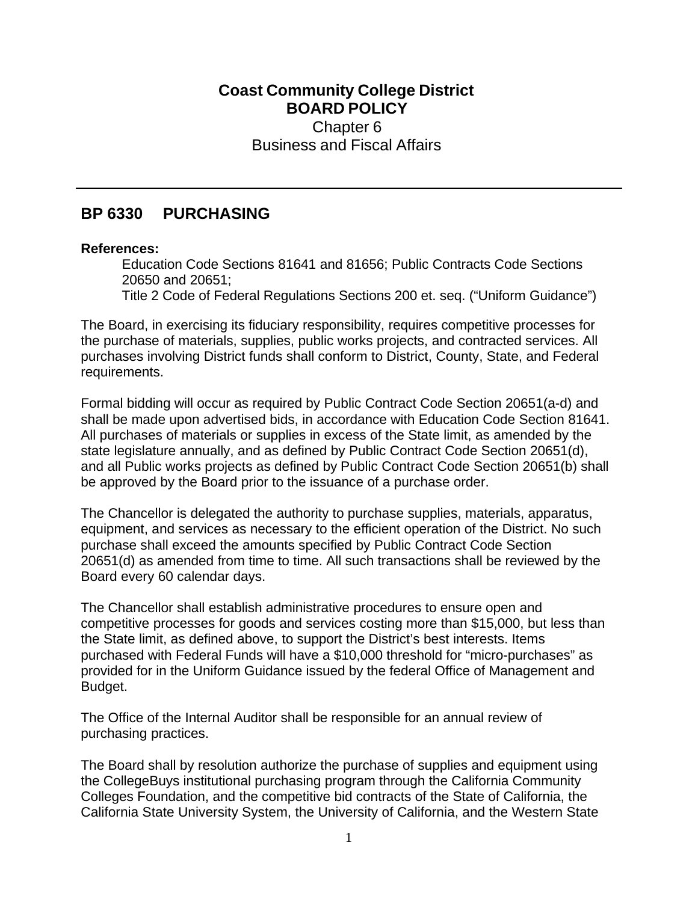## **Coast Community College District BOARD POLICY** Chapter 6 Business and Fiscal Affairs

## **BP 6330 PURCHASING**

## **References:**

Education Code Sections 81641 and 81656; Public Contracts Code Sections 20650 and 20651;

Title 2 Code of Federal Regulations Sections 200 et. seq. ("Uniform Guidance")

The Board, in exercising its fiduciary responsibility, requires competitive processes for the purchase of materials, supplies, public works projects, and contracted services. All purchases involving District funds shall conform to District, County, State, and Federal requirements.

Formal bidding will occur as required by Public Contract Code Section 20651(a-d) and shall be made upon advertised bids, in accordance with Education Code Section 81641. All purchases of materials or supplies in excess of the State limit, as amended by the state legislature annually, and as defined by Public Contract Code Section 20651(d), and all Public works projects as defined by Public Contract Code Section 20651(b) shall be approved by the Board prior to the issuance of a purchase order.

The Chancellor is delegated the authority to purchase supplies, materials, apparatus, equipment, and services as necessary to the efficient operation of the District. No such purchase shall exceed the amounts specified by Public Contract Code Section 20651(d) as amended from time to time. All such transactions shall be reviewed by the Board every 60 calendar days.

The Chancellor shall establish administrative procedures to ensure open and competitive processes for goods and services costing more than \$15,000, but less than the State limit, as defined above, to support the District's best interests. Items purchased with Federal Funds will have a \$10,000 threshold for "micro-purchases" as provided for in the Uniform Guidance issued by the federal Office of Management and Budget.

The Office of the Internal Auditor shall be responsible for an annual review of purchasing practices.

The Board shall by resolution authorize the purchase of supplies and equipment using the CollegeBuys institutional purchasing program through the California Community Colleges Foundation, and the competitive bid contracts of the State of California, the California State University System, the University of California, and the Western State